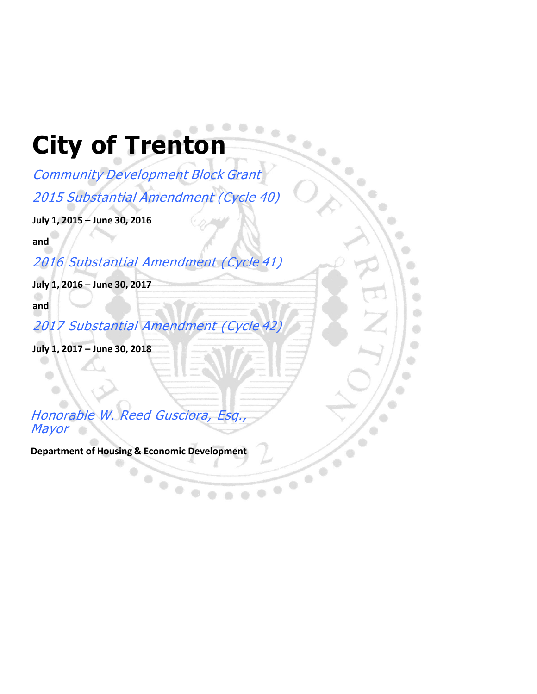## **City of Trenton**

Community Development Block Grant 2015 Substantial Amendment (Cycle 40)

۰

 $\qquad \qquad \circ$  $\bigcirc$  $\bigoplus$ ۰

**July 1, 2015 – June 30, 2016**

**and**

2016 Substantial Amendment (Cycle 41)

**July 1, 2016 – June 30, 2017**

**and**

 $\bullet$ 

2017 Substantial Amendment (Cycle 42)

**July 1, 2017 – June 30, 2018**

Honorable W. Reed Gusciora, Esq., Mayor

**Department of Housing & Economic Development**

 $\bullet$  $\begin{array}{c} \bullet \\ \bullet \end{array}$  $\bullet$  City of Substantial Amendment N

0  $\begin{array}{c} \bullet \\ \bullet \end{array}$ 

 $\bigcirc$ 

۸  $\oplus$